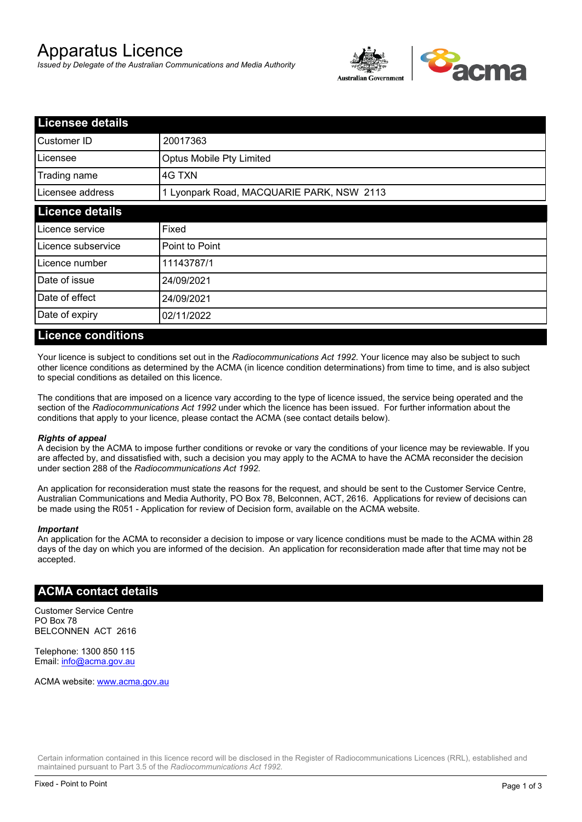# Apparatus Licence

*Issued by Delegate of the Australian Communications and Media Authority*



| <b>Licensee details</b> |                                           |  |  |
|-------------------------|-------------------------------------------|--|--|
| Customer ID             | 20017363                                  |  |  |
| Licensee                | Optus Mobile Pty Limited                  |  |  |
| Trading name            | 4G TXN                                    |  |  |
| Licensee address        | 1 Lyonpark Road, MACQUARIE PARK, NSW 2113 |  |  |
| <b>Licence details</b>  |                                           |  |  |
| Licence service         | Fixed                                     |  |  |
| Licence subservice      | Point to Point                            |  |  |
| Licence number          | 11143787/1                                |  |  |
| Date of issue           | 24/09/2021                                |  |  |
| Date of effect          | 24/09/2021                                |  |  |
| Date of expiry          | 02/11/2022                                |  |  |

#### **Licence conditions**

Your licence is subject to conditions set out in the *Radiocommunications Act 1992*. Your licence may also be subject to such other licence conditions as determined by the ACMA (in licence condition determinations) from time to time, and is also subject to special conditions as detailed on this licence.

The conditions that are imposed on a licence vary according to the type of licence issued, the service being operated and the section of the *Radiocommunications Act 1992* under which the licence has been issued. For further information about the conditions that apply to your licence, please contact the ACMA (see contact details below).

#### *Rights of appeal*

A decision by the ACMA to impose further conditions or revoke or vary the conditions of your licence may be reviewable. If you are affected by, and dissatisfied with, such a decision you may apply to the ACMA to have the ACMA reconsider the decision under section 288 of the *Radiocommunications Act 1992*.

An application for reconsideration must state the reasons for the request, and should be sent to the Customer Service Centre, Australian Communications and Media Authority, PO Box 78, Belconnen, ACT, 2616. Applications for review of decisions can be made using the R051 - Application for review of Decision form, available on the ACMA website.

#### *Important*

An application for the ACMA to reconsider a decision to impose or vary licence conditions must be made to the ACMA within 28 days of the day on which you are informed of the decision. An application for reconsideration made after that time may not be accepted.

### **ACMA contact details**

Customer Service Centre PO Box 78 BELCONNEN ACT 2616

Telephone: 1300 850 115 Email: info@acma.gov.au

ACMA website: www.acma.gov.au

Certain information contained in this licence record will be disclosed in the Register of Radiocommunications Licences (RRL), established and maintained pursuant to Part 3.5 of the *Radiocommunications Act 1992.*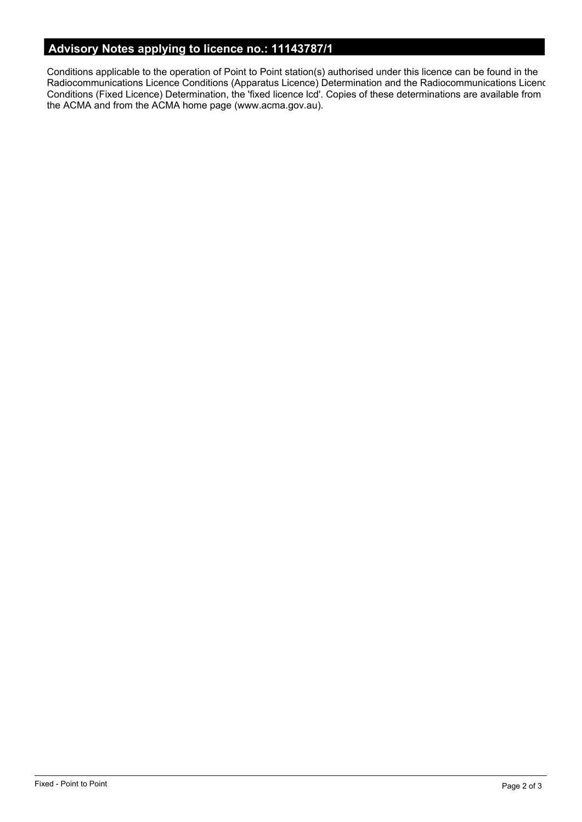# **Advisory Notes applying to licence no.: 11143787/1**

Conditions applicable to the operation of Point to Point station(s) authorised under this licence can be found in the Radiocommunications Licence Conditions (Apparatus Licence) Determination and the Radiocommunications Licence Conditions (Fixed Licence) Determination, the 'fixed licence lcd'. Copies of these determinations are available from the ACMA and from the ACMA home page (www.acma.gov.au).